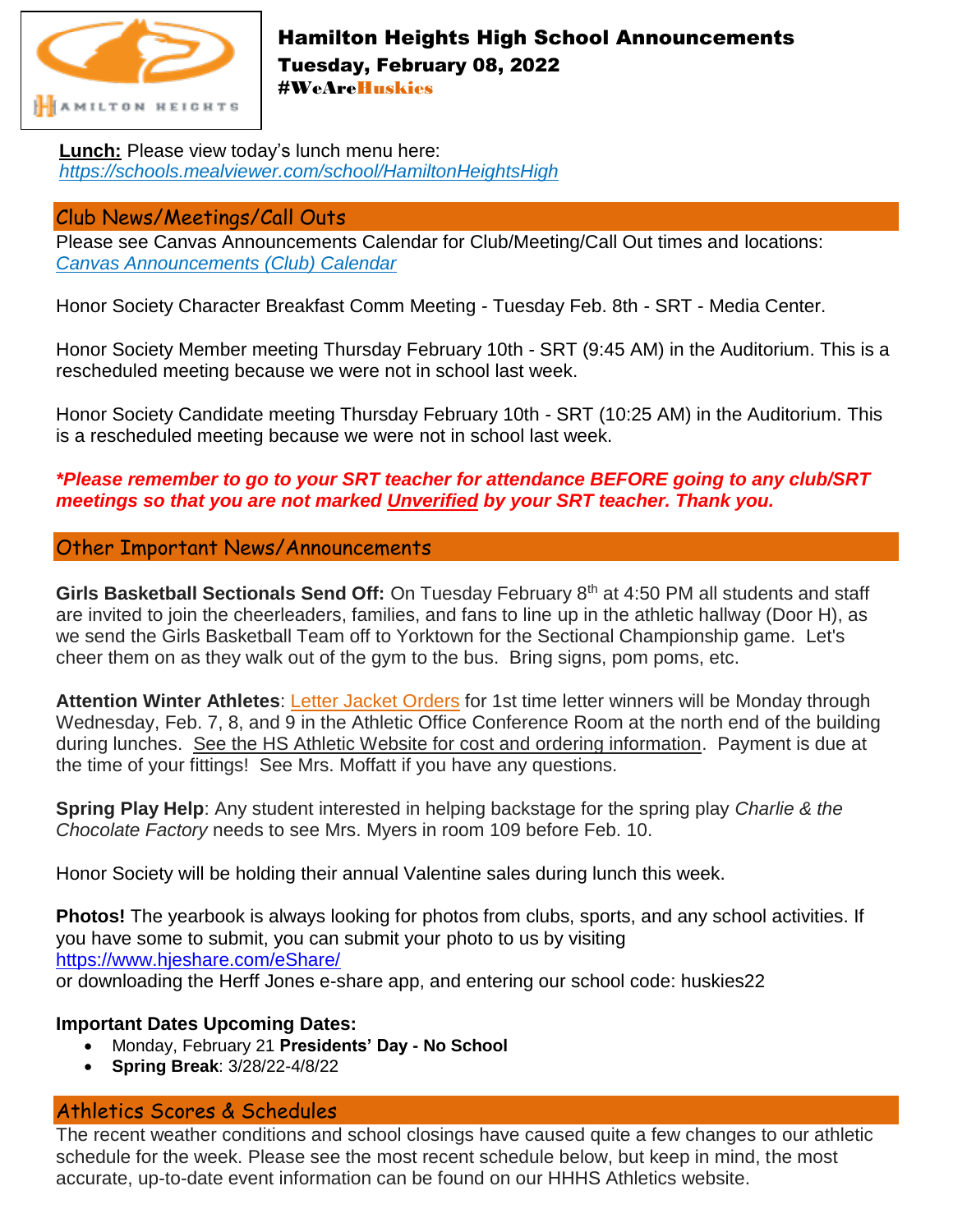

## Hamilton Heights High School Announcements Tuesday, February 08, 2022 #WeAreHuskies

**Lunch:** Please view today's lunch menu here: *<https://schools.mealviewer.com/school/HamiltonHeightsHigh>*

#### Club News/Meetings/Call Outs

Please see Canvas Announcements Calendar for Club/Meeting/Call Out times and locations: *[Canvas Announcements \(Club\) Calendar](https://hhsc.instructure.com/calendar#view_name=month&view)*

Honor Society Character Breakfast Comm Meeting - Tuesday Feb. 8th - SRT - Media Center.

Honor Society Member meeting Thursday February 10th - SRT (9:45 AM) in the Auditorium. This is a rescheduled meeting because we were not in school last week.

Honor Society Candidate meeting Thursday February 10th - SRT (10:25 AM) in the Auditorium. This is a rescheduled meeting because we were not in school last week.

### *\*Please remember to go to your SRT teacher for attendance BEFORE going to any club/SRT meetings so that you are not marked Unverified by your SRT teacher. Thank you.*

#### Other Important News/Announcements

**Girls Basketball Sectionals Send Off:** On Tuesday February 8th at 4:50 PM all students and staff are invited to join the cheerleaders, families, and fans to line up in the athletic hallway (Door H), as we send the Girls Basketball Team off to Yorktown for the Sectional Championship game. Let's cheer them on as they walk out of the gym to the bus. Bring signs, pom poms, etc.

**Attention Winter Athletes**: Letter Jacket Orders for 1st time letter winners will be Monday through Wednesday, Feb. 7, 8, and 9 in the Athletic Office Conference Room at the north end of the building during lunches. See the HS Athletic Website for cost and ordering information. Payment is due at the time of your fittings! See Mrs. Moffatt if you have any questions.

**Spring Play Help**: Any student interested in helping backstage for the spring play *Charlie & the Chocolate Factory* needs to see Mrs. Myers in room 109 before Feb. 10.

Honor Society will be holding their annual Valentine sales during lunch this week.

**Photos!** The yearbook is always looking for photos from clubs, sports, and any school activities. If you have some to submit, you can submit your photo to us by visiting [https://www.hjeshare.com/eShare/](https://l.facebook.com/l.php?u=https%3A%2F%2Fwww.hjeshare.com%2FeShare%2F%3Ffbclid%3DIwAR28xq7nALhtDOmW249LzbwpDnOpIAh0_uR2bLXS7KhHTh320SzA7UIWGSI&h=AT1pdM8crP7DNYstkEe_1r4uktyuDOKPFPxUgNcw1IQRY1kxq0JUfQZ-v_IfHjjGla5EC5ukdcIaNfK87fS61aF7CHP2oZ_ZRrf0SAtpFJxg7gBsKcppyatppACf_vQ1ritU2Xovwg&__tn__=-UK-R&c%5b0%5d=AT2ZHto5vcAAyHJjTbBIQ-Hor4P_ZbkDt2QinhVrcZWa-LX-sT7RQD3-DU_W21O5g7CNeq67BkbhQpkV4-rtEtnl8SWVDLTKYtN0tN9mWY8oBVd349ZaybnmXThPvZytejqDBn2bMwu1ySDY4MgXZP_Pyl35-k-yFZJHRpzUZD997QHnhMr1pI1MYVuhC7Eov7o4) or downloading the Herff Jones e-share app, and entering our school code: huskies22

#### **Important Dates Upcoming Dates:**

- Monday, February 21 **Presidents' Day - No School**
- **Spring Break**: 3/28/22-4/8/22

# Athletics Scores & Schedules

The recent weather conditions and school closings have caused quite a few changes to our athletic schedule for the week. Please see the most recent schedule below, but keep in mind, the most accurate, up-to-date event information can be found on our HHHS Athletics website.